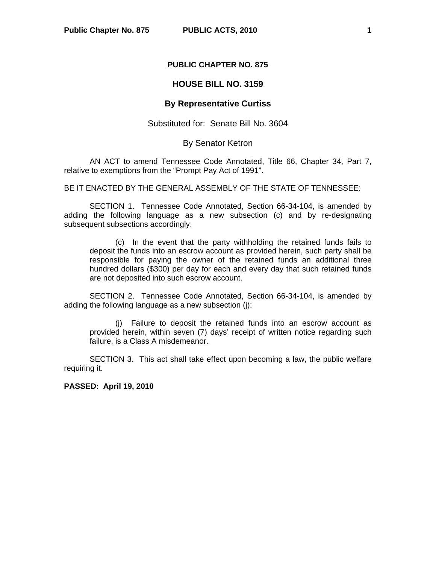## **PUBLIC CHAPTER NO. 875**

## **HOUSE BILL NO. 3159**

## **By Representative Curtiss**

Substituted for: Senate Bill No. 3604

## By Senator Ketron

AN ACT to amend Tennessee Code Annotated, Title 66, Chapter 34, Part 7, relative to exemptions from the "Prompt Pay Act of 1991".

BE IT ENACTED BY THE GENERAL ASSEMBLY OF THE STATE OF TENNESSEE:

 SECTION 1. Tennessee Code Annotated, Section 66-34-104, is amended by adding the following language as a new subsection (c) and by re-designating subsequent subsections accordingly:

 (c) In the event that the party withholding the retained funds fails to deposit the funds into an escrow account as provided herein, such party shall be responsible for paying the owner of the retained funds an additional three hundred dollars (\$300) per day for each and every day that such retained funds are not deposited into such escrow account.

 SECTION 2. Tennessee Code Annotated, Section 66-34-104, is amended by adding the following language as a new subsection (j):

 (j) Failure to deposit the retained funds into an escrow account as provided herein, within seven (7) days' receipt of written notice regarding such failure, is a Class A misdemeanor.

 SECTION 3. This act shall take effect upon becoming a law, the public welfare requiring it.

**PASSED: April 19, 2010**